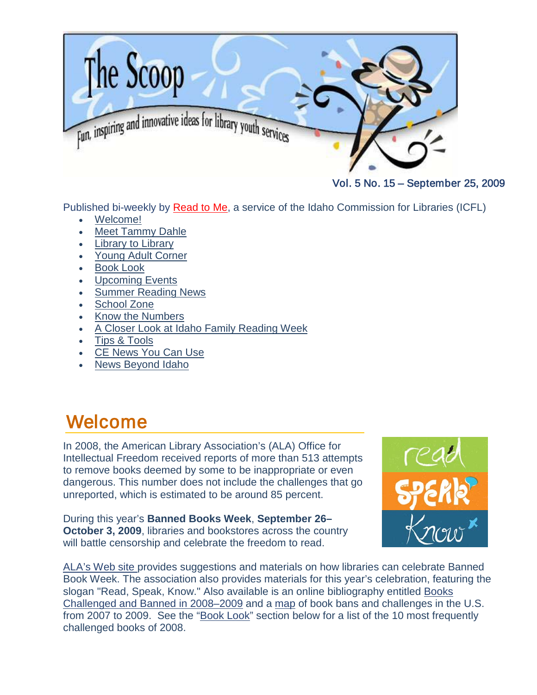<span id="page-0-0"></span>

Vol. 5 No. 15 – September 25, 2009

Published bi-weekly by [Read to Me,](http://libraries.idaho.gov/readtome) a service of the Idaho Commission for Libraries (ICFL)

- [Welcome!](#page-0-0)
- **[Meet Tammy Dahle](#page-1-0)**
- [Library to Library](#page-2-0)
- [Young Adult Corner](#page-4-0)
- **[Book Look](#page-6-0)**
- [Upcoming Events](#page-7-0)
- [Summer Reading News](#page-9-0)
- [School Zone](#page-10-0)
- [Know the Numbers](#page-12-0)
- [A Closer Look at Idaho Family Reading Week](#page-13-0)
- [Tips & Tools](#page-14-0)
- [CE News You Can Use](#page-16-0)
- [News Beyond Idaho](#page-16-1)

## Welcome

In 2008, the American Library Association's (ALA) Office for Intellectual Freedom received reports of more than 513 attempts to remove books deemed by some to be inappropriate or even dangerous. This number does not include the challenges that go unreported, which is estimated to be around 85 percent.

During this year's **Banned Books Week**, **September 26– October 3, 2009**, libraries and bookstores across the country will battle censorship and celebrate the freedom to read.



[ALA's Web site](http://www.ala.org/ala/issuesadvocacy/banned/bannedbooksweek/index.cfm) provides suggestions and materials on how libraries can celebrate Banned Book Week. The association also provides materials for this year's celebration, featuring the slogan "Read, Speak, Know." Also available is an online bibliography entitled [Books](http://www.ila.org/pdf/2009banned.pdf)  [Challenged and Banned in 2008–2009](http://www.ila.org/pdf/2009banned.pdf) and a [map](http://bannedbooksweek.org/Mapofbookcensorship.html) of book bans and challenges in the U.S. from 2007 to 2009. See the ["Book Look"](#page-6-0) section below for a list of the 10 most frequently challenged books of 2008.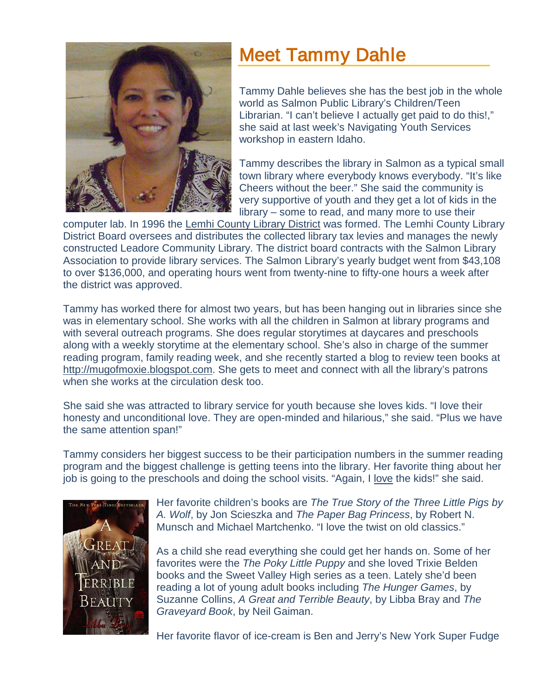<span id="page-1-0"></span>

# Meet Tammy Dahle

Tammy Dahle believes she has the best job in the whole world as Salmon Public Library's Children/Teen Librarian. "I can't believe I actually get paid to do this!," she said at last week's Navigating Youth Services workshop in eastern Idaho.

Tammy describes the library in Salmon as a typical small town library where everybody knows everybody. "It's like Cheers without the beer." She said the community is very supportive of youth and they get a lot of kids in the library – some to read, and many more to use their

computer lab. In 1996 the [Lemhi County Library District](http://salmon.lili.org/) was formed. The Lemhi County Library District Board oversees and distributes the collected library tax levies and manages the newly constructed Leadore Community Library. The district board contracts with the Salmon Library Association to provide library services. The Salmon Library's yearly budget went from \$43,108 to over \$136,000, and operating hours went from twenty-nine to fifty-one hours a week after the district was approved.

Tammy has worked there for almost two years, but has been hanging out in libraries since she was in elementary school. She works with all the children in Salmon at library programs and with several outreach programs. She does regular storytimes at daycares and preschools along with a weekly storytime at the elementary school. She's also in charge of the summer reading program, family reading week, and she recently started a blog to review teen books at [http://mugofmoxie.blogspot.com.](http://mugofmoxie.blogspot.com/) She gets to meet and connect with all the library's patrons when she works at the circulation desk too.

She said she was attracted to library service for youth because she loves kids. "I love their honesty and unconditional love. They are open-minded and hilarious," she said. "Plus we have the same attention span!"

Tammy considers her biggest success to be their participation numbers in the summer reading program and the biggest challenge is getting teens into the library. Her favorite thing about her job is going to the preschools and doing the school visits. "Again, I love the kids!" she said.



Her favorite children's books are *The True Story of the Three Little Pigs by A. Wolf*, by Jon Scieszka and *The Paper Bag Princess*, by Robert N. Munsch and Michael Martchenko. "I love the twist on old classics."

As a child she read everything she could get her hands on. Some of her favorites were the *The Poky Little Puppy* and she loved Trixie Belden books and the Sweet Valley High series as a teen. Lately she'd been reading a lot of young adult books including *The Hunger Games*, by Suzanne Collins, *A Great and Terrible Beauty*, by Libba Bray and *The Graveyard Book*, by Neil Gaiman.

Her favorite flavor of ice-cream is Ben and Jerry's New York Super Fudge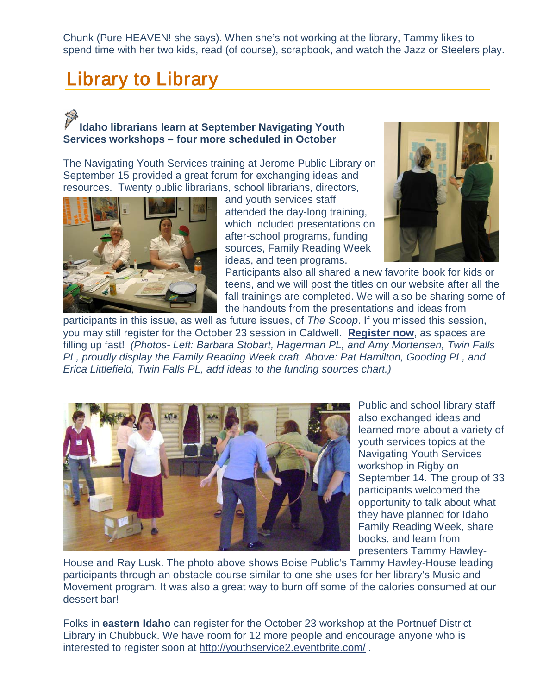Chunk (Pure HEAVEN! she says). When she's not working at the library, Tammy likes to spend time with her two kids, read (of course), scrapbook, and watch the Jazz or Steelers play.

## <span id="page-2-0"></span>Library to Library

### **Idaho librarians learn at September Navigating Youth Services workshops – four more scheduled in October**

The Navigating Youth Services training at Jerome Public Library on September 15 provided a great forum for exchanging ideas and resources. Twenty public librarians, school librarians, directors,



and youth services staff attended the day-long training, which included presentations on after-school programs, funding sources, Family Reading Week ideas, and teen programs.



Participants also all shared a new favorite book for kids or teens, and we will post the titles on our website after all the fall trainings are completed. We will also be sharing some of the handouts from the presentations and ideas from

participants in this issue, as well as future issues, of *The Scoop*. If you missed this session, you may still register for the October 23 session in Caldwell. **[Register now](http://youthservicescaldwell.eventbrite.com/)**, as spaces are filling up fast! *(Photos- Left: Barbara Stobart, Hagerman PL, and Amy Mortensen, Twin Falls PL, proudly display the Family Reading Week craft. Above: Pat Hamilton, Gooding PL, and Erica Littlefield, Twin Falls PL, add ideas to the funding sources chart.)*



Public and school library staff also exchanged ideas and learned more about a variety of youth services topics at the Navigating Youth Services workshop in Rigby on September 14. The group of 33 participants welcomed the opportunity to talk about what they have planned for Idaho Family Reading Week, share books, and learn from presenters Tammy Hawley-

House and Ray Lusk. The photo above shows Boise Public's Tammy Hawley-House leading participants through an obstacle course similar to one she uses for her library's Music and Movement program. It was also a great way to burn off some of the calories consumed at our dessert bar!

Folks in **eastern Idaho** can register for the October 23 workshop at the Portnuef District Library in Chubbuck. We have room for 12 more people and encourage anyone who is interested to register soon at<http://youthservice2.eventbrite.com/> .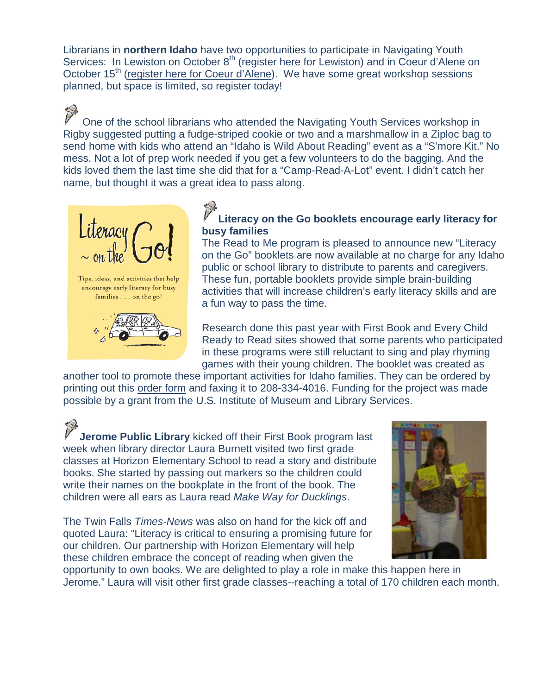Librarians in **northern Idaho** have two opportunities to participate in Navigating Youth Services: In Lewiston on October 8<sup>th</sup> [\(register here](http://youthserviceslewiston.eventbrite.com/) for Lewiston) and in Coeur d'Alene on October 15<sup>th</sup> (register here [for Coeur d'Alene\)](http://youthservicescoeurdalene.eventbrite.com/). We have some great workshop sessions planned, but space is limited, so register today!

One of the school librarians who attended the Navigating Youth Services workshop in Rigby suggested putting a fudge-striped cookie or two and a marshmallow in a Ziploc bag to send home with kids who attend an "Idaho is Wild About Reading" event as a "S'more Kit." No mess. Not a lot of prep work needed if you get a few volunteers to do the bagging. And the kids loved them the last time she did that for a "Camp-Read-A-Lot" event. I didn't catch her name, but thought it was a great idea to pass along.



#### **Literacy on the Go booklets encourage early literacy for busy families**

The Read to Me program is pleased to announce new "Literacy on the Go" booklets are now available at no charge for any Idaho public or school library to distribute to parents and caregivers. These fun, portable booklets provide simple brain-building activities that will increase children's early literacy skills and are a fun way to pass the time.

Research done this past year with First Book and Every Child Ready to Read sites showed that some parents who participated in these programs were still reluctant to sing and play rhyming games with their young children. The booklet was created as

another tool to promote these important activities for Idaho families. They can be ordered by printing out this [order form](http://libraries.idaho.gov/files/SupportMaterials-order-form-08-2009.pdf) and faxing it to 208-334-4016. Funding for the project was made possible by a grant from the U.S. Institute of Museum and Library Services.

**Jerome Public Library** kicked off their First Book program last week when library director Laura Burnett visited two first grade classes at Horizon Elementary School to read a story and distribute books. She started by passing out markers so the children could write their names on the bookplate in the front of the book. The children were all ears as Laura read *Make Way for Ducklings*.

The Twin Falls *Times-News* was also on hand for the kick off and quoted Laura: "Literacy is critical to ensuring a promising future for our children. Our partnership with Horizon Elementary will help these children embrace the concept of reading when given the



opportunity to own books. We are delighted to play a role in make this happen here in Jerome." Laura will visit other first grade classes--reaching a total of 170 children each month.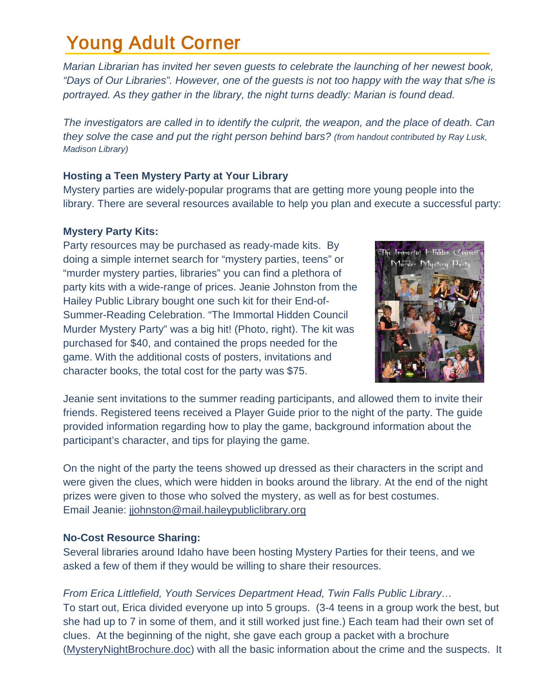# <span id="page-4-0"></span>Young Adult Corner

*Marian Librarian has invited her seven guests to celebrate the launching of her newest book, "Days of Our Libraries". However, one of the guests is not too happy with the way that s/he is portrayed. As they gather in the library, the night turns deadly: Marian is found dead.* 

*The investigators are called in to identify the culprit, the weapon, and the place of death. Can they solve the case and put the right person behind bars? (from handout contributed by Ray Lusk, Madison Library)*

#### **Hosting a Teen Mystery Party at Your Library**

Mystery parties are widely-popular programs that are getting more young people into the library. There are several resources available to help you plan and execute a successful party:

#### **Mystery Party Kits:**

Party resources may be purchased as ready-made kits. By doing a simple internet search for "mystery parties, teens" or "murder mystery parties, libraries" you can find a plethora of party kits with a wide-range of prices. Jeanie Johnston from the Hailey Public Library bought one such kit for their End-of-Summer-Reading Celebration. "The Immortal Hidden Council Murder Mystery Party" was a big hit! (Photo, right). The kit was purchased for \$40, and contained the props needed for the game. With the additional costs of posters, invitations and character books, the total cost for the party was \$75.



Jeanie sent invitations to the summer reading participants, and allowed them to invite their friends. Registered teens received a Player Guide prior to the night of the party. The guide provided information regarding how to play the game, background information about the participant's character, and tips for playing the game.

On the night of the party the teens showed up dressed as their characters in the script and were given the clues, which were hidden in books around the library. At the end of the night prizes were given to those who solved the mystery, as well as for best costumes. Email Jeanie: [jjohnston@mail.haileypubliclibrary.org](mailto:jjohnston@mail.haileypubliclibrary.org)

#### **No-Cost Resource Sharing:**

Several libraries around Idaho have been hosting Mystery Parties for their teens, and we asked a few of them if they would be willing to share their resources.

#### *From Erica Littlefield, Youth Services Department Head, Twin Falls Public Library…*

To start out, Erica divided everyone up into 5 groups. (3-4 teens in a group work the best, but she had up to 7 in some of them, and it still worked just fine.) Each team had their own set of clues. At the beginning of the night, she gave each group a packet with a brochure [\(MysteryNightBrochure.doc\)](http://libraries.idaho.gov/page/read-to-me-resources) with all the basic information about the crime and the suspects. It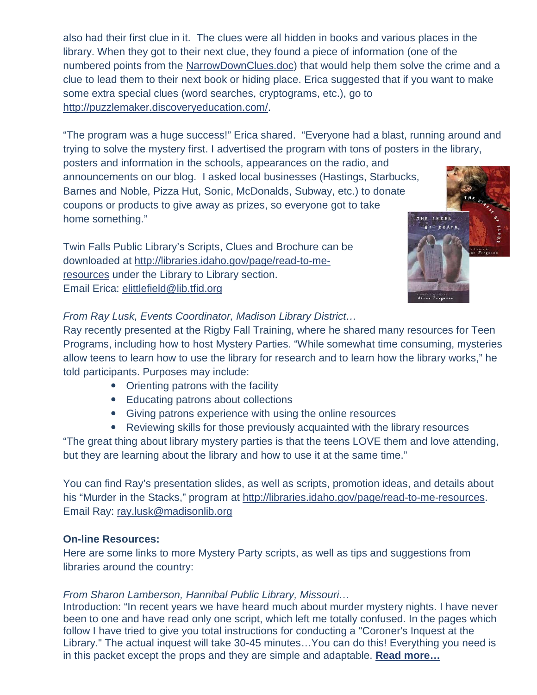also had their first clue in it. The clues were all hidden in books and various places in the library. When they got to their next clue, they found a piece of information (one of the numbered points from the [NarrowDownClues.doc\)](http://libraries.idaho.gov/page/read-to-me-resources) that would help them solve the crime and a clue to lead them to their next book or hiding place. Erica suggested that if you want to make some extra special clues (word searches, cryptograms, etc.), go to [http://puzzlemaker.discoveryeducation.com/.](http://puzzlemaker.discoveryeducation.com/)

"The program was a huge success!" Erica shared. "Everyone had a blast, running around and trying to solve the mystery first. I advertised the program with tons of posters in the library,

posters and information in the schools, appearances on the radio, and announcements on our blog. I asked local businesses (Hastings, Starbucks, Barnes and Noble, Pizza Hut, Sonic, McDonalds, Subway, etc.) to donate coupons or products to give away as prizes, so everyone got to take home something."

Twin Falls Public Library's Scripts, Clues and Brochure can be downloaded at [http://libraries.idaho.gov/page/read-to-me](http://libraries.idaho.gov/page/read-to-me-resources)[resources](http://libraries.idaho.gov/page/read-to-me-resources) under the Library to Library section. Email Erica: [elittlefield@lib.tfid.org](mailto:elittlefield@lib.tfid.org)



#### *From Ray Lusk, Events Coordinator, Madison Library District…*

Ray recently presented at the Rigby Fall Training, where he shared many resources for Teen Programs, including how to host Mystery Parties. "While somewhat time consuming, mysteries allow teens to learn how to use the library for research and to learn how the library works," he told participants. Purposes may include:

- Orienting patrons with the facility
- Educating patrons about collections
- Giving patrons experience with using the online resources
- Reviewing skills for those previously acquainted with the library resources

"The great thing about library mystery parties is that the teens LOVE them and love attending, but they are learning about the library and how to use it at the same time."

You can find Ray's presentation slides, as well as scripts, promotion ideas, and details about his "Murder in the Stacks," program at [http://libraries.idaho.gov/page/read-to-me-resources.](http://libraries.idaho.gov/page/read-to-me-resources) Email Ray: [ray.lusk@madisonlib.org](mailto:ray.lusk@madisonlib.org)

#### **On-line Resources:**

Here are some links to more Mystery Party scripts, as well as tips and suggestions from libraries around the country:

#### *From Sharon Lamberson, Hannibal Public Library, Missouri…*

Introduction: "In recent years we have heard much about murder mystery nights. I have never been to one and have read only one script, which left me totally confused. In the pages which follow I have tried to give you total instructions for conducting a "Coroner's Inquest at the Library." The actual inquest will take 30-45 minutes…You can do this! Everything you need is in this packet except the props and they are simple and adaptable. **[Read more…](http://www.plano.gov/DEPARTMENTS/LIBRARIES/TEENS/Pages/Teen%20Mystery%20Night.aspx)**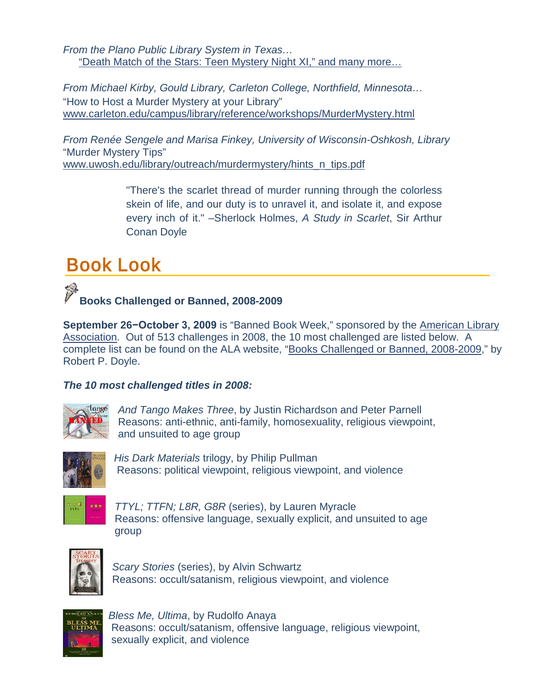*From the Plano Public Library System in Texas…* ["Death Match of the Stars: Teen Mystery Night XI," and many more…](http://www.plano.gov/Departments/Libraries/Teens/Teen%20Mystery%20Night%20Resource/Pages/default.aspx)

*From Michael Kirby, Gould Library, Carleton College, Northfield, Minnesota…* "How to Host a Murder Mystery at your Library" [www.carleton.edu/campus/library/reference/workshops/MurderMystery.html](http://www.carleton.edu/campus/library/reference/workshops/MurderMystery.html)

*From Renée Sengele and Marisa Finkey, University of Wisconsin-Oshkosh, Library* "Murder Mystery Tips" [www.uwosh.edu/library/outreach/murdermystery/hints\\_n\\_tips.pdf](http://www.uwosh.edu/library/outreach/murdermystery/hints_n_tips.pdf)

> "There's the scarlet thread of murder running through the colorless skein of life, and our duty is to unravel it, and isolate it, and expose every inch of it." –Sherlock Holmes, *A Study in Scarlet*, Sir Arthur Conan Doyle

# <span id="page-6-0"></span>Book Look



**September 26−October 3, 2009** is "Banned Book Week," sponsored by the [American Library](http://www.ala.org/ala/issuesadvocacy/banned/frequentlychallenged/21stcenturychallenged/2008/index.cfm)  [Association.](http://www.ala.org/ala/issuesadvocacy/banned/frequentlychallenged/21stcenturychallenged/2008/index.cfm) Out of 513 challenges in 2008, the 10 most challenged are listed below. A complete list can be found on the ALA website, ["Books Challenged or Banned, 2008-2009,](http://www.ala.org/ala/issuesadvocacy/banned/bannedbooksweek/ideasandresources/free_downloads/2009banned.pdf)" by Robert P. Doyle.

#### *The 10 most challenged titles in 2008:*



 *And Tango Makes Three*, by Justin Richardson and Peter Parnell Reasons: anti-ethnic, anti-family, homosexuality, religious viewpoint, and unsuited to age group



 *His Dark Materials* trilogy, by Philip Pullman Reasons: political viewpoint, religious viewpoint, and violence



 *TTYL; TTFN; L8R, G8R* (series), by Lauren Myracle Reasons: offensive language, sexually explicit, and unsuited to age group



*Scary Stories* (series), by Alvin Schwartz Reasons: occult/satanism, religious viewpoint, and violence



*Bless Me, Ultima*, by Rudolfo Anaya Reasons: occult/satanism, offensive language, religious viewpoint, sexually explicit, and violence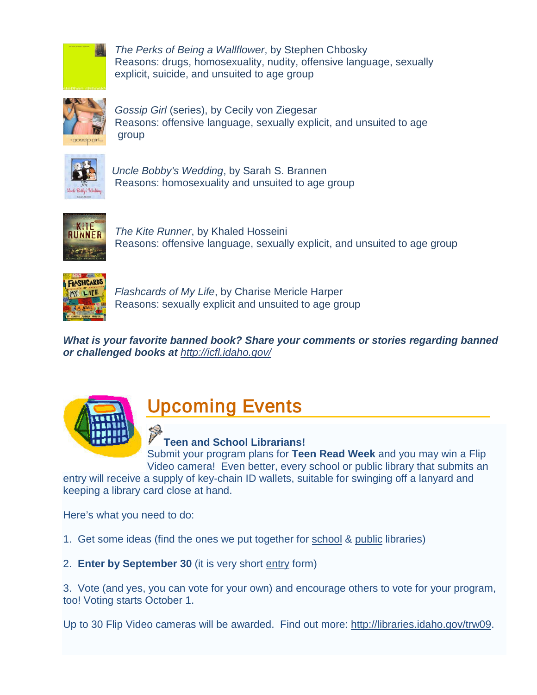<span id="page-7-0"></span>

*The Perks of Being a Wallflower*, by Stephen Chbosky Reasons: drugs, homosexuality, nudity, offensive language, sexually explicit, suicide, and unsuited to age group



 *Gossip Girl* (series), by Cecily von Ziegesar Reasons: offensive language, sexually explicit, and unsuited to age group



*Uncle Bobby's Wedding*, by Sarah S. Brannen Reasons: homosexuality and unsuited to age group



 *The Kite Runner*, by Khaled Hosseini Reasons: offensive language, sexually explicit, and unsuited to age group



 *Flashcards of My Life*, by Charise Mericle Harper Reasons: sexually explicit and unsuited to age group

*What is your favorite banned book? Share your comments or stories regarding banned or challenged books at <http://icfl.idaho.gov/>*



# Upcoming Events

**Teen and School Librarians!**

Submit your program plans for **Teen Read Week** and you may win a Flip Video camera! Even better, every school or public library that submits an

entry will receive a supply of key-chain ID wallets, suitable for swinging off a lanyard and keeping a library card close at hand.

Here's what you need to do:

1. Get some ideas (find the ones we put together for [school](http://libraries.idaho.gov/files/Schoollibraryprograms20090818Aabr.doc) & [public](http://libraries.idaho.gov/files/PublicLibraryprograms20090828Aabr.doc) libraries)

2. **Enter by September 30** (it is very short [entry](http://www.surveymonkey.com/s.aspx?sm=SFLfOFmWjpXkSdNhPrfBcQ_3d_3d) form)

3. Vote (and yes, you can vote for your own) and encourage others to vote for your program, too! Voting starts October 1.

Up to 30 Flip Video cameras will be awarded. Find out more: [http://libraries.idaho.gov/trw09.](http://libraries.idaho.gov/trw09)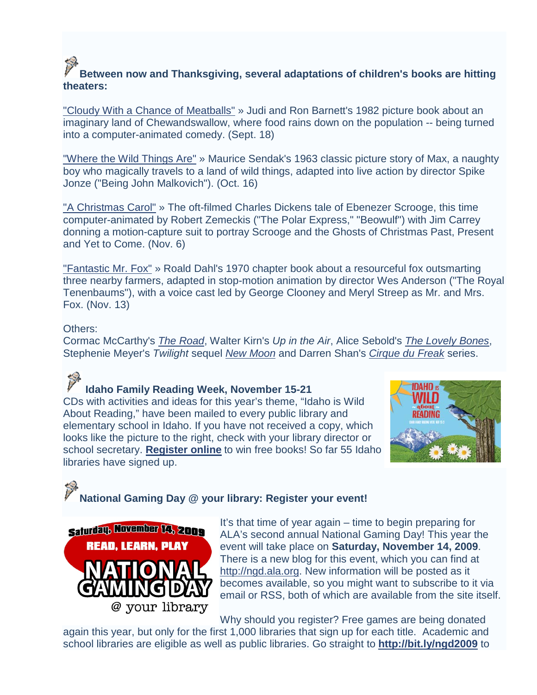### **Between now and Thanksgiving, several adaptations of children's books are hitting theaters:**

["Cloudy With a Chance of Meatballs"](http://www.film-finder.com/movies/cloudy_with_a_chance_of_meatballs/) » Judi and Ron Barnett's 1982 picture book about an imaginary land of Chewandswallow, where food rains down on the population -- being turned into a computer-animated comedy. (Sept. 18)

["Where the Wild Things Are"](http://www.film-finder.com/movies/where_the_wild_things_are/) » Maurice Sendak's 1963 classic picture story of Max, a naughty boy who magically travels to a land of wild things, adapted into live action by director Spike Jonze ("Being John Malkovich"). (Oct. 16)

["A Christmas Carol"](http://www.film-finder.com/movies/a_christmas_carol/) » The oft-filmed Charles Dickens tale of Ebenezer Scrooge, this time computer-animated by Robert Zemeckis ("The Polar Express," "Beowulf") with Jim Carrey donning a motion-capture suit to portray Scrooge and the Ghosts of Christmas Past, Present and Yet to Come. (Nov. 6)

["Fantastic Mr. Fox"](http://www.film-finder.com/movies/the_fantastic_mr_fox/) » Roald Dahl's 1970 chapter book about a resourceful fox outsmarting three nearby farmers, adapted in stop-motion animation by director Wes Anderson ("The Royal Tenenbaums"), with a voice cast led by George Clooney and Meryl Streep as Mr. and Mrs. Fox. (Nov. 13)

#### Others:

Cormac McCarthy's *[The Road](http://www.film-finder.com/movies/the_road/)*, Walter Kirn's *Up in the Air*, Alice Sebold's *[The Lovely Bones](http://www.film-finder.com/movies/the_lovely_bones/)*, Stephenie Meyer's *Twilight* sequel *[New Moon](http://www.film-finder.com/movies/the_twilight_saga_new_moon/)* and Darren Shan's *[Cirque du Freak](http://www.film-finder.com/movies/the_vampires_assistant/)* series.

#### **Idaho Family Reading Week, November 15-21**

CDs with activities and ideas for this year's theme, "Idaho is Wild About Reading," have been mailed to every public library and elementary school in Idaho. If you have not received a copy, which looks like the picture to the right, check with your library director or school secretary. **[Register online](http://www.surveymonkey.com/s.aspx?sm=mwRRpyHAxrNiOyzDxWMmQA_3d_3d)** to win free books! So far 55 Idaho libraries have signed up.



### **National Gaming Day @ your library: Register your event!**



It's that time of year again – time to begin preparing for ALA's second annual National Gaming Day! This year the event will take place on **Saturday, November 14, 2009**. There is a new blog for this event, which you can find at [http://ngd.ala.org.](http://ngd.ala.org/) New information will be posted as it becomes available, so you might want to subscribe to it via email or RSS, both of which are available from the site itself.

Why should you register? Free games are being donated

again this year, but only for the first 1,000 libraries that sign up for each title. Academic and school libraries are eligible as well as public libraries. Go straight to **<http://bit.ly/ngd2009>** to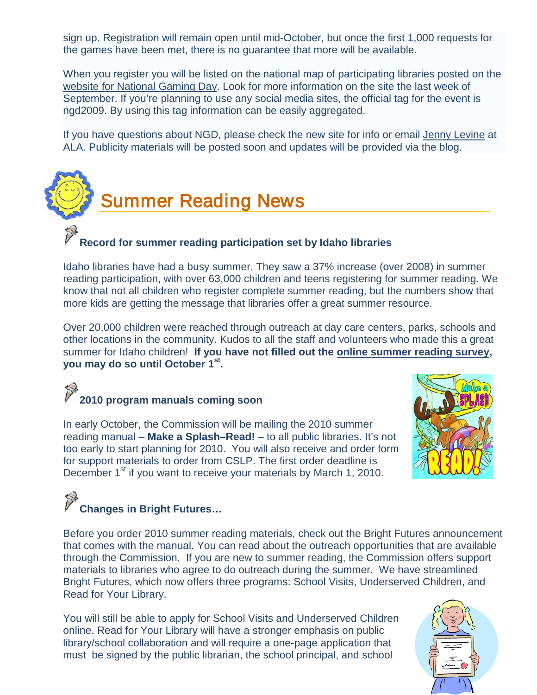sign up. Registration will remain open until mid-October, but once the first 1,000 requests for the games have been met, there is no guarantee that more will be available.

When you register you will be listed on the national map of participating libraries posted on the [website for National Gaming Day.](http://ilovelibraries.org/gaming) Look for more information on the site the last week of September. If you're planning to use any social media sites, the official tag for the event is ngd2009. By using this tag information can be easily aggregated.

If you have questions about NGD, please check the new site for info or email [Jenny Levine](mailto:jlevine@ala.org) at ALA. Publicity materials will be posted soon and updates will be provided via the blog.



#### <span id="page-9-0"></span>**Record for summer reading participation set by Idaho libraries**

Idaho libraries have had a busy summer. They saw a 37% increase (over 2008) in summer reading participation, with over 63,000 children and teens registering for summer reading. We know that not all children who register complete summer reading, but the numbers show that more kids are getting the message that libraries offer a great summer resource.

Over 20,000 children were reached through outreach at day care centers, parks, schools and other locations in the community. Kudos to all the staff and volunteers who made this a great summer for Idaho children! **If you have not filled out the [online summer reading survey,](http://www.surveymonkey.com/s.aspx?sm=Qge3DJxO200gA0_2bXsTrjUA_3d_3d) you may do so until October 1st.**

# **2010 program manuals coming soon**

In early October, the Commission will be mailing the 2010 summer reading manual – **Make a Splash–Read!** – to all public libraries. It's not too early to start planning for 2010. You will also receive and order form for support materials to order from CSLP. The first order deadline is December 1<sup>st</sup> if you want to receive your materials by March 1, 2010.



# **Changes in Bright Futures…**

Before you order 2010 summer reading materials, check out the Bright Futures announcement that comes with the manual. You can read about the outreach opportunities that are available through the Commission. If you are new to summer reading, the Commission offers support materials to libraries who agree to do outreach during the summer. We have streamlined Bright Futures, which now offers three programs: School Visits, Underserved Children, and Read for Your Library.

You will still be able to apply for School Visits and Underserved Children online. Read for Your Library will have a stronger emphasis on public library/school collaboration and will require a one-page application that must be signed by the public librarian, the school principal, and school

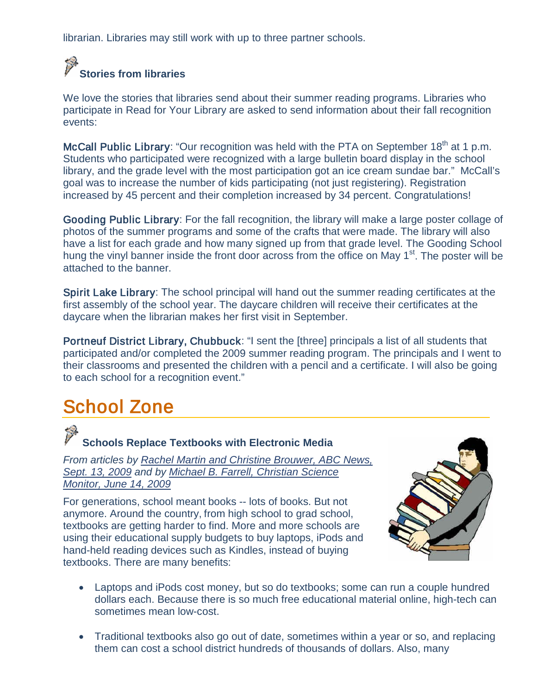librarian. Libraries may still work with up to three partner schools.

#### **Contract of the Contract Stories from libraries**

We love the stories that libraries send about their summer reading programs. Libraries who participate in Read for Your Library are asked to send information about their fall recognition events:

McCall Public Library: "Our recognition was held with the PTA on September 18<sup>th</sup> at 1 p.m. Students who participated were recognized with a large bulletin board display in the school library, and the grade level with the most participation got an ice cream sundae bar." McCall's goal was to increase the number of kids participating (not just registering). Registration increased by 45 percent and their completion increased by 34 percent. Congratulations!

Gooding Public Library: For the fall recognition, the library will make a large poster collage of photos of the summer programs and some of the crafts that were made. The library will also have a list for each grade and how many signed up from that grade level. The Gooding School hung the vinyl banner inside the front door across from the office on May 1<sup>st</sup>. The poster will be attached to the banner.

Spirit Lake Library: The school principal will hand out the summer reading certificates at the first assembly of the school year. The daycare children will receive their certificates at the daycare when the librarian makes her first visit in September.

Portneuf District Library, Chubbuck: "I sent the [three] principals a list of all students that participated and/or completed the 2009 summer reading program. The principals and I went to their classrooms and presented the children with a pencil and a certificate. I will also be going to each school for a recognition event."

# <span id="page-10-0"></span>School Zone

# **Schools Replace Textbooks with Electronic Media**

*From articles by [Rachel Martin and Christine Brouwer, ABC News,](http://www.abcnews.go.com/Technology/ipods-laptops-replacing-school-textbooks/Story?id=8563292&page=1)  [Sept. 13, 2009](http://www.abcnews.go.com/Technology/ipods-laptops-replacing-school-textbooks/Story?id=8563292&page=1) and by [Michael B. Farrell, Christian Science](http://abcnews.go.com/Technology/Economy/story?id=7827997&page=1)  [Monitor, June 14, 2009](http://abcnews.go.com/Technology/Economy/story?id=7827997&page=1)* 

For generations, school meant books -- lots of books. But not anymore. Around the country, from high school to grad school, textbooks are getting harder to find. More and more schools are using their educational supply budgets to buy laptops, iPods and hand-held reading devices such as Kindles, instead of buying textbooks. There are many benefits:



- Laptops and iPods cost money, but so do textbooks; some can run a couple hundred dollars each. Because there is so much free educational material online, high-tech can sometimes mean low-cost.
- Traditional textbooks also go out of date, sometimes within a year or so, and replacing them can cost a school district hundreds of thousands of dollars. Also, many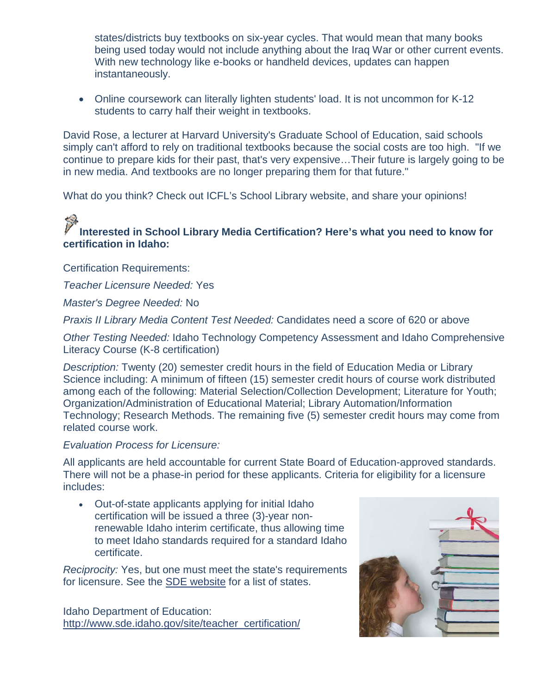states/districts buy textbooks on six-year cycles. That would mean that many books being used today would not include anything about the Iraq War or other current events. With new technology like e-books or handheld devices, updates can happen instantaneously.

• Online coursework can literally lighten students' load. It is not uncommon for K-12 students to carry half their weight in textbooks.

David Rose, a lecturer at Harvard University's Graduate School of Education, said schools simply can't afford to rely on traditional textbooks because the social costs are too high. "If we continue to prepare kids for their past, that's very expensive…Their future is largely going to be in new media. And textbooks are no longer preparing them for that future."

What do you think? Check out ICFL's School Library website, and share your opinions!

### **Interested in School Library Media Certification? Here's what you need to know for certification in Idaho:**

Certification Requirements:

*Teacher Licensure Needed:* Yes

*Master's Degree Needed:* No

*Praxis II Library Media Content Test Needed:* Candidates need a score of 620 or above

*Other Testing Needed:* Idaho Technology Competency Assessment and Idaho Comprehensive Literacy Course (K-8 certification)

*Description:* Twenty (20) semester credit hours in the field of Education Media or Library Science including: A minimum of fifteen (15) semester credit hours of course work distributed among each of the following: Material Selection/Collection Development; Literature for Youth; Organization/Administration of Educational Material; Library Automation/Information Technology; Research Methods. The remaining five (5) semester credit hours may come from related course work.

#### *Evaluation Process for Licensure:*

All applicants are held accountable for current State Board of Education-approved standards. There will not be a phase-in period for these applicants. Criteria for eligibility for a licensure includes:

• Out-of-state applicants applying for initial Idaho certification will be issued a three (3)-year nonrenewable Idaho interim certificate, thus allowing time to meet Idaho standards required for a standard Idaho certificate.

*Reciprocity:* Yes, but one must meet the state's requirements for licensure. See the [SDE website](http://www.sde.idaho.gov/site/teacher_certification/apply_cert_cred.htm) for a list of states.

Idaho Department of Education: [http://www.sde.idaho.gov/site/teacher\\_certification/](http://www.sde.idaho.gov/site/teacher_certification/)

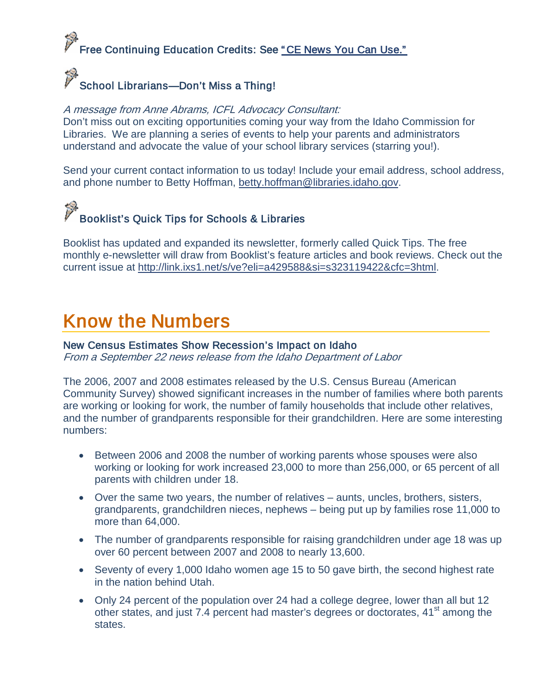## .<br>Free Continuing Education Credits: See "CE News You Can Use."

### School Librarians—Don't Miss a Thing!

#### A message from Anne Abrams, ICFL Advocacy Consultant:

Don't miss out on exciting opportunities coming your way from the Idaho Commission for Libraries. We are planning a series of events to help your parents and administrators understand and advocate the value of your school library services (starring you!).

Send your current contact information to us today! Include your email address, school address, and phone number to Betty Hoffman, [betty.hoffman@libraries.idaho.gov.](mailto:betty.hoffman@libraries.idaho.gov)

# Booklist's Quick Tips for Schools & Libraries

Booklist has updated and expanded its newsletter, formerly called Quick Tips. The free monthly e-newsletter will draw from Booklist's feature articles and book reviews. Check out the current issue at [http://link.ixs1.net/s/ve?eli=a429588&si=s323119422&cfc=3html.](http://link.ixs1.net/s/ve?eli=a429588&si=s323119422&cfc=3html)

## <span id="page-12-0"></span>Know the Numbers

#### New Census Estimates Show Recession's Impact on Idaho

From a September 22 news release from the Idaho Department of Labor

The 2006, 2007 and 2008 estimates released by the U.S. Census Bureau (American Community Survey) showed significant increases in the number of families where both parents are working or looking for work, the number of family households that include other relatives, and the number of grandparents responsible for their grandchildren. Here are some interesting numbers:

- Between 2006 and 2008 the number of working parents whose spouses were also working or looking for work increased 23,000 to more than 256,000, or 65 percent of all parents with children under 18.
- Over the same two years, the number of relatives aunts, uncles, brothers, sisters, grandparents, grandchildren nieces, nephews – being put up by families rose 11,000 to more than 64,000.
- The number of grandparents responsible for raising grandchildren under age 18 was up over 60 percent between 2007 and 2008 to nearly 13,600.
- Seventy of every 1,000 Idaho women age 15 to 50 gave birth, the second highest rate in the nation behind Utah.
- Only 24 percent of the population over 24 had a college degree, lower than all but 12 other states, and just 7.4 percent had master's degrees or doctorates, 41<sup>st</sup> among the states.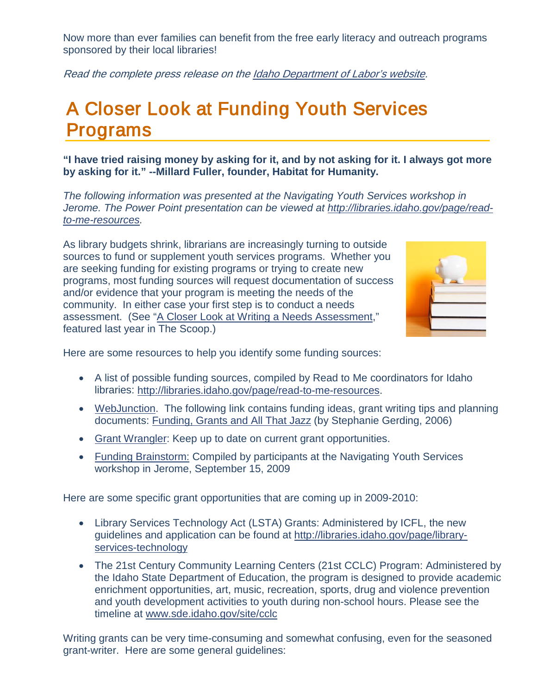Now more than ever families can benefit from the free early literacy and outreach programs sponsored by their local libraries!

Read the complete press release on the **Idaho Department of Labor's website.** 

## <span id="page-13-0"></span>A Closer Look at Funding Youth Services Programs

**"I have tried raising money by asking for it, and by not asking for it. I always got more by asking for it." --Millard Fuller, founder, Habitat for Humanity.**

*The following information was presented at the Navigating Youth Services workshop in Jerome. The Power Point presentation can be viewed at [http://libraries.idaho.gov/page/read](http://libraries.idaho.gov/page/read-to-me-resources)[to-me-resources.](http://libraries.idaho.gov/page/read-to-me-resources)*

As library budgets shrink, librarians are increasingly turning to outside sources to fund or supplement youth services programs. Whether you are seeking funding for existing programs or trying to create new programs, most funding sources will request documentation of success and/or evidence that your program is meeting the needs of the community. In either case your first step is to conduct a needs assessment. (See ["A Closer Look at Writing a Needs Assessment,](http://libraries.idaho.gov/files/Needs-assessment-2009Ssha.pdf)" featured last year in The Scoop.)



Here are some resources to help you identify some funding sources:

- A list of possible funding sources, compiled by Read to Me coordinators for Idaho libraries: [http://libraries.idaho.gov/page/read-to-me-resources.](http://libraries.idaho.gov/page/read-to-me-resources)
- [WebJunction.](http://www.webjunction.org/home) The following link contains funding ideas, grant writing tips and planning documents: [Funding, Grants and All That Jazz](http://www.webjunction.org/grants/-/articles/content/443271) (by Stephanie Gerding, 2006)
- [Grant Wrangler:](http://www.grantwrangler.com/) Keep up to date on current grant opportunities.
- [Funding Brainstorm:](http://libraries.idaho.gov/page/read-to-me-resources) Compiled by participants at the Navigating Youth Services workshop in Jerome, September 15, 2009

Here are some specific grant opportunities that are coming up in 2009-2010:

- Library Services Technology Act (LSTA) Grants: Administered by ICFL, the new guidelines and application can be found at [http://libraries.idaho.gov/page/library](http://libraries.idaho.gov/page/library-services-technology)[services-technology](http://libraries.idaho.gov/page/library-services-technology)
- The 21st Century Community Learning Centers (21st CCLC) Program: Administered by the Idaho State Department of Education, the program is designed to provide academic enrichment opportunities, art, music, recreation, sports, drug and violence prevention and youth development activities to youth during non-school hours. Please see the timeline at [www.sde.idaho.gov/site/cclc](http://www.sde.idaho.gov/site/cclc)

Writing grants can be very time-consuming and somewhat confusing, even for the seasoned grant-writer. Here are some general guidelines: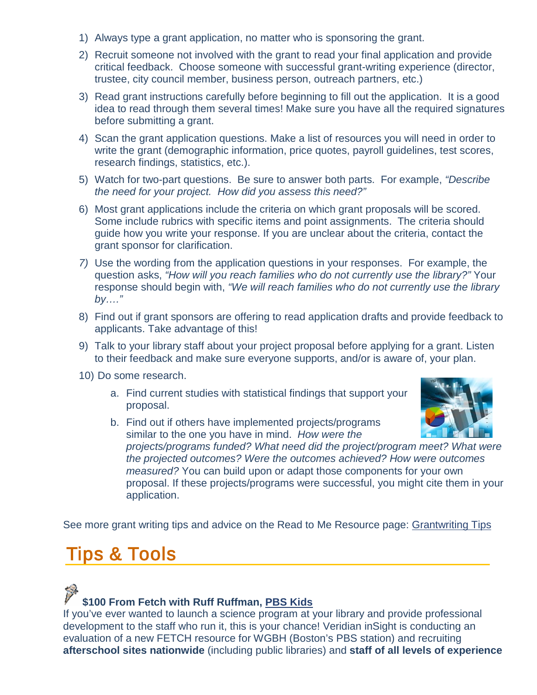- 1) Always type a grant application, no matter who is sponsoring the grant.
- 2) Recruit someone not involved with the grant to read your final application and provide critical feedback. Choose someone with successful grant-writing experience (director, trustee, city council member, business person, outreach partners, etc.)
- 3) Read grant instructions carefully before beginning to fill out the application. It is a good idea to read through them several times! Make sure you have all the required signatures before submitting a grant.
- 4) Scan the grant application questions. Make a list of resources you will need in order to write the grant (demographic information, price quotes, payroll guidelines, test scores, research findings, statistics, etc.).
- 5) Watch for two-part questions. Be sure to answer both parts. For example, *"Describe the need for your project. How did you assess this need?"*
- 6) Most grant applications include the criteria on which grant proposals will be scored. Some include rubrics with specific items and point assignments. The criteria should guide how you write your response. If you are unclear about the criteria, contact the grant sponsor for clarification.
- *7)* Use the wording from the application questions in your responses. For example, the question asks, *"How will you reach families who do not currently use the library?"* Your response should begin with, *"We will reach families who do not currently use the library by…."*
- 8) Find out if grant sponsors are offering to read application drafts and provide feedback to applicants. Take advantage of this!
- 9) Talk to your library staff about your project proposal before applying for a grant. Listen to their feedback and make sure everyone supports, and/or is aware of, your plan.
- 10) Do some research.
	- a. Find current studies with statistical findings that support your proposal.



b. Find out if others have implemented projects/programs similar to the one you have in mind. *How were the projects/programs funded? What need did the project/program meet? What were the projected outcomes? Were the outcomes achieved? How were outcomes measured?* You can build upon or adapt those components for your own proposal. If these projects/programs were successful, you might cite them in your application.

See more grant writing tips and advice on the Read to Me Resource page: [Grantwriting Tips](http://libraries.idaho.gov/files/Grantwriting%20Tips.doc)

## <span id="page-14-0"></span>Tips & Tools

#### **\$100 From Fetch with Ruff Ruffman, [PBS Kids](http://pbskids.org/fetch/)**

If you've ever wanted to launch a science program at your library and provide professional development to the staff who run it, this is your chance! Veridian inSight is conducting an evaluation of a new FETCH resource for WGBH (Boston's PBS station) and recruiting **afterschool sites nationwide** (including public libraries) and **staff of all levels of experience**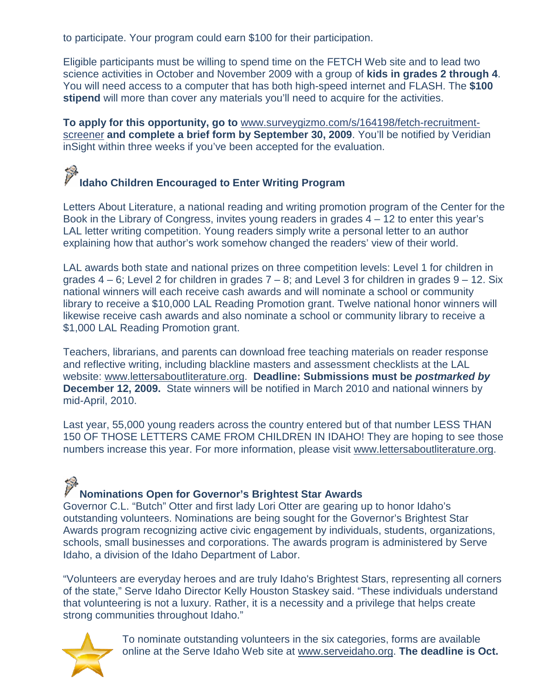to participate. Your program could earn \$100 for their participation.

Eligible participants must be willing to spend time on the FETCH Web site and to lead two science activities in October and November 2009 with a group of **kids in grades 2 through 4**. You will need access to a computer that has both high-speed internet and FLASH. The **\$100 stipend** will more than cover any materials you'll need to acquire for the activities.

**To apply for this opportunity, go to** [www.surveygizmo.com/s/164198/fetch-recruitment](http://cts.vresp.com/c/?WGBH/c3aa03c0bc/605ce3fe06/c4f937cc64)[screener](http://cts.vresp.com/c/?WGBH/c3aa03c0bc/605ce3fe06/c4f937cc64) **and complete a brief form by September 30, 2009**. You'll be notified by Veridian inSight within three weeks if you've been accepted for the evaluation.

# **Idaho Children Encouraged to Enter Writing Program**

Letters About Literature, a national reading and writing promotion program of the Center for the Book in the Library of Congress, invites young readers in grades  $4 - 12$  to enter this year's LAL letter writing competition. Young readers simply write a personal letter to an author explaining how that author's work somehow changed the readers' view of their world.

LAL awards both state and national prizes on three competition levels: Level 1 for children in grades  $4 - 6$ ; Level 2 for children in grades  $7 - 8$ ; and Level 3 for children in grades  $9 - 12$ . Six national winners will each receive cash awards and will nominate a school or community library to receive a \$10,000 LAL Reading Promotion grant. Twelve national honor winners will likewise receive cash awards and also nominate a school or community library to receive a \$1,000 LAL Reading Promotion grant.

Teachers, librarians, and parents can download free teaching materials on reader response and reflective writing, including blackline masters and assessment checklists at the LAL website: [www.lettersaboutliterature.org.](http://www.lettersaboutliterature.org/) **Deadline: Submissions must be** *postmarked by*  **December 12, 2009.** State winners will be notified in March 2010 and national winners by mid-April, 2010.

Last year, 55,000 young readers across the country entered but of that number LESS THAN 150 OF THOSE LETTERS CAME FROM CHILDREN IN IDAHO! They are hoping to see those numbers increase this year. For more information, please visit [www.lettersaboutliterature.org.](http://www.lettersaboutliterature.org/)

## **Nominations Open for Governor's Brightest Star Awards**

Governor C.L. "Butch" Otter and first lady Lori Otter are gearing up to honor Idaho's outstanding volunteers. Nominations are being sought for the Governor's Brightest Star Awards program recognizing active civic engagement by individuals, students, organizations, schools, small businesses and corporations. The awards program is administered by Serve Idaho, a division of the Idaho Department of Labor.

"Volunteers are everyday heroes and are truly Idaho's Brightest Stars, representing all corners of the state," Serve Idaho Director Kelly Houston Staskey said. "These individuals understand that volunteering is not a luxury. Rather, it is a necessity and a privilege that helps create strong communities throughout Idaho."



To nominate outstanding volunteers in the six categories, forms are available online at the Serve Idaho Web site at [www.serveidaho.org.](http://www.serveidaho.org/) **The deadline is Oct.**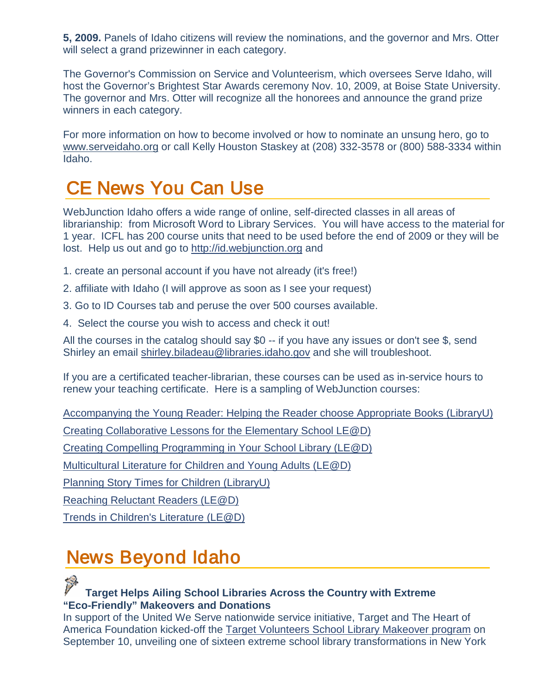**5, 2009.** Panels of Idaho citizens will review the nominations, and the governor and Mrs. Otter will select a grand prizewinner in each category.

The Governor's Commission on Service and Volunteerism, which oversees Serve Idaho, will host the Governor's Brightest Star Awards ceremony Nov. 10, 2009, at Boise State University. The governor and Mrs. Otter will recognize all the honorees and announce the grand prize winners in each category.

For more information on how to become involved or how to nominate an unsung hero, go to [www.serveidaho.org](http://www.brighteststars.idaho.gov/) or call Kelly Houston Staskey at (208) 332-3578 or (800) 588-3334 within Idaho.

# <span id="page-16-0"></span>CE News You Can Use

WebJunction Idaho offers a wide range of online, self-directed classes in all areas of librarianship: from Microsoft Word to Library Services. You will have access to the material for 1 year. ICFL has 200 course units that need to be used before the end of 2009 or they will be lost. Help us out and go to [http://id.webjunction.org](http://id.webjunction.org/) and

- 1. create an personal account if you have not already (it's free!)
- 2. affiliate with Idaho (I will approve as soon as I see your request)
- 3. Go to ID Courses tab and peruse the over 500 courses available.
- 4. Select the course you wish to access and check it out!

All the courses in the catalog should say \$0 -- if you have any issues or don't see \$, send Shirley an email [shirley.biladeau@libraries.idaho.gov](mailto:shirley.biladeau@libraries.idaho.gov) and she will troubleshoot.

If you are a certificated teacher-librarian, these courses can be used as in-service hours to renew your teaching certificate. Here is a sampling of WebJunction courses:

[Accompanying the Young Reader: Helping the Reader choose Appropriate Books \(LibraryU\)](http://id.webjunction.org/catalog/-/courses/details/42656801?_OCLC_COURSES_redirectName=Children&_OCLC_COURSES_redirect=%2Fcatalog%3Fp_p_id%3DOCLC_COURSE_CATALOG%26p_p_lifecycle%3D0%26p_p_state%3Dnormal%26p_p_mode%3Dview%26p_p_col_id%3Dcolumn-2%26p_p_col_count%3D1%26_OCLC_COURSE_CATALOG_struts_action%3D%252Fcoursecatalog%252Flist%26_OCLC_COURSE_CATALOG_categoryId%3DLibSvcs_Ch%26_OCLC_COURSE_CATALOG_categoryTitle%3DChildren%26_OCLC_COURSE_CATALOG_catalogIds%3DIdaho_Private%26_OCLC_COURSE_CATALOG_redirect%3D%252Fcatalog)

[Creating Collaborative Lessons for the Elementary School LE@D\)](http://id.webjunction.org/catalog/-/courses/details/690521?_OCLC_COURSES_redirectName=Children&_OCLC_COURSES_redirect=%2Fcatalog%3Fp_p_id%3DOCLC_COURSE_CATALOG%26p_p_lifecycle%3D0%26p_p_state%3Dnormal%26p_p_mode%3Dview%26p_p_col_id%3Dcolumn-2%26p_p_col_count%3D1%26_OCLC_COURSE_CATALOG_struts_action%3D%252Fcoursecatalog%252Flist%26_OCLC_COURSE_CATALOG_categoryId%3DLibSvcs_Ch%26_OCLC_COURSE_CATALOG_categoryTitle%3DChildren%26_OCLC_COURSE_CATALOG_catalogIds%3DIdaho_Private%26_OCLC_COURSE_CATALOG_redirect%3D%252Fcatalog)

[Creating Compelling Programming in Your School Library \(LE@D\)](http://id.webjunction.org/catalog/-/courses/details/690523?_OCLC_COURSES_redirectName=Children&_OCLC_COURSES_redirect=%2Fcatalog%3Fp_p_id%3DOCLC_COURSE_CATALOG%26p_p_lifecycle%3D0%26p_p_state%3Dnormal%26p_p_mode%3Dview%26p_p_col_id%3Dcolumn-2%26p_p_col_count%3D1%26_OCLC_COURSE_CATALOG_struts_action%3D%252Fcoursecatalog%252Flist%26_OCLC_COURSE_CATALOG_categoryId%3DLibSvcs_Ch%26_OCLC_COURSE_CATALOG_categoryTitle%3DChildren%26_OCLC_COURSE_CATALOG_catalogIds%3DIdaho_Private%26_OCLC_COURSE_CATALOG_redirect%3D%252Fcatalog)

[Multicultural Literature for Children and Young Adults \(LE@D\)](http://id.webjunction.org/catalog/-/courses/details/690524?_OCLC_COURSES_redirectName=Children&_OCLC_COURSES_redirect=%2Fcatalog%3Fp_p_id%3DOCLC_COURSE_CATALOG%26p_p_lifecycle%3D0%26p_p_state%3Dnormal%26p_p_mode%3Dview%26p_p_col_id%3Dcolumn-2%26p_p_col_count%3D1%26_OCLC_COURSE_CATALOG_struts_action%3D%252Fcoursecatalog%252Flist%26_OCLC_COURSE_CATALOG_categoryId%3DLibSvcs_Ch%26_OCLC_COURSE_CATALOG_categoryTitle%3DChildren%26_OCLC_COURSE_CATALOG_catalogIds%3DIdaho_Private%26_OCLC_COURSE_CATALOG_redirect%3D%252Fcatalog)

[Planning Story Times for Children \(LibraryU\)](http://id.webjunction.org/catalog/-/courses/details/40695480?_OCLC_COURSES_redirectName=Children&_OCLC_COURSES_redirect=%2Fcatalog%3Fp_p_id%3DOCLC_COURSE_CATALOG%26p_p_lifecycle%3D0%26p_p_state%3Dnormal%26p_p_mode%3Dview%26p_p_col_id%3Dcolumn-2%26p_p_col_count%3D1%26_OCLC_COURSE_CATALOG_struts_action%3D%252Fcoursecatalog%252Flist%26_OCLC_COURSE_CATALOG_categoryId%3DLibSvcs_Ch%26_OCLC_COURSE_CATALOG_categoryTitle%3DChildren%26_OCLC_COURSE_CATALOG_catalogIds%3DIdaho_Private%26_OCLC_COURSE_CATALOG_redirect%3D%252Fcatalog)

[Reaching Reluctant Readers \(LE@D\)](http://id.webjunction.org/catalog/-/courses/details/690545?_OCLC_COURSES_redirectName=Children&_OCLC_COURSES_redirect=%2Fcatalog%3Fp_p_id%3DOCLC_COURSE_CATALOG%26p_p_lifecycle%3D0%26p_p_state%3Dnormal%26p_p_mode%3Dview%26p_p_col_id%3Dcolumn-2%26p_p_col_count%3D1%26_OCLC_COURSE_CATALOG_struts_action%3D%252Fcoursecatalog%252Flist%26_OCLC_COURSE_CATALOG_categoryId%3DLibSvcs_Ch%26_OCLC_COURSE_CATALOG_categoryTitle%3DChildren%26_OCLC_COURSE_CATALOG_catalogIds%3DIdaho_Private%26_OCLC_COURSE_CATALOG_redirect%3D%252Fcatalog)

[Trends in Children's Literature \(LE@D\)](http://id.webjunction.org/catalog/-/courses/details/690522?_OCLC_COURSES_redirectName=Children&_OCLC_COURSES_redirect=%2Fcatalog%3Fp_p_id%3DOCLC_COURSE_CATALOG%26p_p_lifecycle%3D0%26p_p_state%3Dnormal%26p_p_mode%3Dview%26p_p_col_id%3Dcolumn-2%26p_p_col_count%3D1%26_OCLC_COURSE_CATALOG_struts_action%3D%252Fcoursecatalog%252Flist%26_OCLC_COURSE_CATALOG_categoryId%3DLibSvcs_Ch%26_OCLC_COURSE_CATALOG_categoryTitle%3DChildren%26_OCLC_COURSE_CATALOG_catalogIds%3DIdaho_Private%26_OCLC_COURSE_CATALOG_redirect%3D%252Fcatalog)

# <span id="page-16-1"></span>News Beyond Idaho

#### **Target Helps Ailing School Libraries Across the Country with Extreme "Eco-Friendly" Makeovers and Donations**

In support of the United We Serve nationwide service initiative, Target and The Heart of America Foundation kicked-off the [Target Volunteers School Library Makeover program](http://www.target.com/libraries) on September 10, unveiling one of sixteen extreme school library transformations in New York